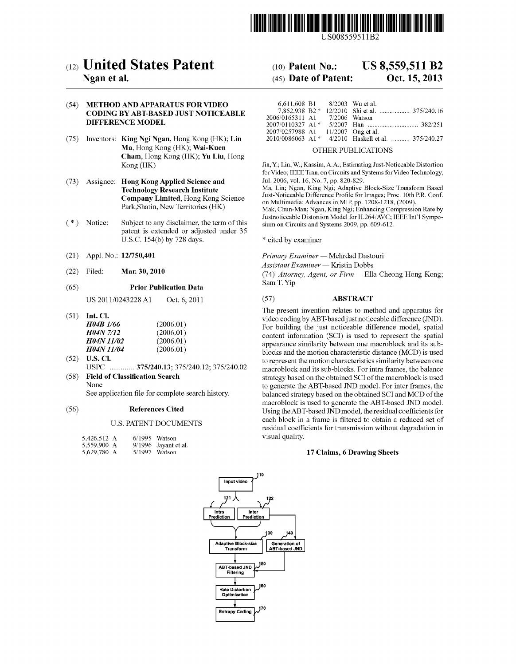

US008559511B2

# $(12)$  United States Patent  $(10)$  Patent No.: US 8,559,511 B2

#### (54) METHOD AND APPARATUS FOR VIDEO CODING BY ABT-BASED JUST NOTICEABLE DIFFERENCE MODEL

- (75) Inventors: King Ngi Ngan, Hong Kong (HK); Lin 2010/0086063 A1\* 4/2010 Haskell et Ma, Hong Kong (HK); Wai-Kuen OTHER PUBLICATIONS Cham, Hong Kong (HK); Yu Liu, Hong<br>Kong (HK)
- (73) Assignee: Hong Kong Applied Science and Company Limited, Hong Kong Science Just-Noticeable Difference Profile for Images; Proc. 10th P.<br>Park Shatin, New Territories (HK) on Multimedia. Advances in MIP, pp. 1208-1218, (2009).
- (\*) Notice: Subject to any disclaimer, the term of this sium on Circuits and Systems 2009, pp. 609-612. patent is extended or adjusted under 35 U.S.C. 154(b) by 728 days. \* cited by examiner
- 
- 

#### (65) **Prior Publication Data**

- 
- 
- 

#### U.S. PATENT DOCUMENTS

| 5,426,512 A |  | $6/1995$ Watson        |
|-------------|--|------------------------|
| 5,559,900 A |  | $9/1996$ Jayant et al. |
| 5,629,780 A |  | 5/1997 Watson          |

## Ngan et al. (45) Date of Patent: Oct. 15, 2013

| 6.611.608 B1                       |  | 8/2003 Wu et al.                                        |
|------------------------------------|--|---------------------------------------------------------|
|                                    |  |                                                         |
| 2006/0165311 A1 7/2006 Watson      |  |                                                         |
| $2007/0110327$ A1 <sup>*</sup>     |  |                                                         |
| 2007/0257988 A1 11/2007 Ong et al. |  |                                                         |
|                                    |  | $2010/0086063$ A1* $4/2010$ Haskell et al. $375/240.27$ |

Jia, Y.; Lin, W.; Kassim, A.A.; Estimating Just-Noticeable Distortion for Video; IEEE Tran. on Circuits and Systems for Video Technology, Jul. 2006, vol. 16, No. 7, pp. 820-829.

Technology Research Institute Ma, Lin; Ngan, King Ngi; Adaptive Block-Size Transform Based<br>Company I imited Hong Kong Science Just-Noticeable Difference Profile for Images; Proc. 10th P.R. Conf.

Mak, Chun-Man; Ngan, King Ngi; Enhancing Compression Rate by Justnoticeable Distortion Model for H.264/AVC; IEEE Int'l Sympo

(21) Appl. No.: 12/750,401 Primary Examiner - Mehrdad Dastouri

Filed: **Mar. 30, 2010** *Assistant Examiner* – Kristin Dobbs<br>(74) *Attorney Agent of Einma* Ell

(22) Filed: **Mar. 30, 2010** (74) Attorney, Agent, or Firm — Ella Cheong Hong Kong;<br> $\frac{1}{2}$  Sam T. Yip

### US 2011/0243228 A1 Oct. 6, 2011 (57) ABSTRACT

The present invention relates to method and apparatus for (51) Int. Cl.<br>  $H04B1/66$  (2006.01)  $H04B1/66$  (2006.01)  $H04B1/66$  coding by ABT-based just noticeable difference (JND).  $H_{0.04}$   $H_{0.04}$   $H_{0.04}$   $H_{0.04}$  (2006.01) For building the just noticeable difference model, spatial  $H_{0.04}$   $H_{0.04}$   $H_{0.04}$   $H_{0.04}$   $H_{0.04}$   $H_{0.04}$   $H_{0.04}$   $H_{0.04}$   $H_{0.04}$   $H_{0.04}$   $H_{0.04}$   $H$  $H$ <sup>04N</sup> 7/12 (2006.01) content information (SCI) is used to represent the spatial  $H$ <sup>04N</sup> 11/02 (2006.01) content information (SCI) is used to represent the spatial  $H04N11/02$  (2006.01) appearance similarity between one macroblock and its sub-<br> $H04N11/04$  (2006.01) blocks and the motion characteristic distance (MCD) is used  $H^{1/1/1/1/4}$  (2006.01) blocks and the motion characteristic distance (MCD) is used<br>(52) U.S. Cl. to represent the motion characteristics similarity between one (52) US' C1' to represent the motion characteristics similarity betWeen one USPC  $\ldots$ — $\ldots$  375/240.13; 375/240.12; 375/240.02 macroblock and its sub-blocks. For intra frames, the balance (58) Field of Classification Search strategy based on the obtained SCI of the macroblock is used Field of Classification Search strategy based on the obtained SCI of the macroblock is used<br>None strategy based on the ABT-based JND model. For inter frames, the None to generate the ABT-based JND model. For inter frames, the<br>See application file for complete search history. balanced strategy based on the obtained SCI and MCD of the balanced strategy based on the obtained SCI and MCD of the macroblock is used to generate the ABT-based JND model. (56) References Cited Using the ABT-based JND model, the residual coefficients for each block in a frame is filtered to obtain a reduced set of residual coefficients for transmission without degradation in visual quality.

#### 17 Claims, 6 Drawing Sheets

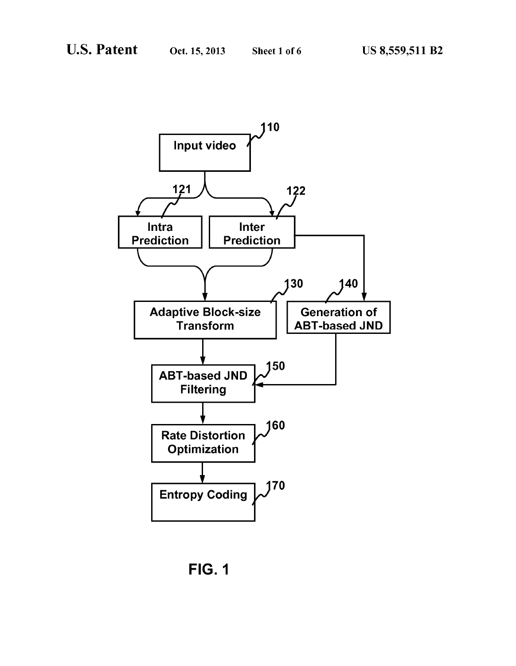

FIG. 1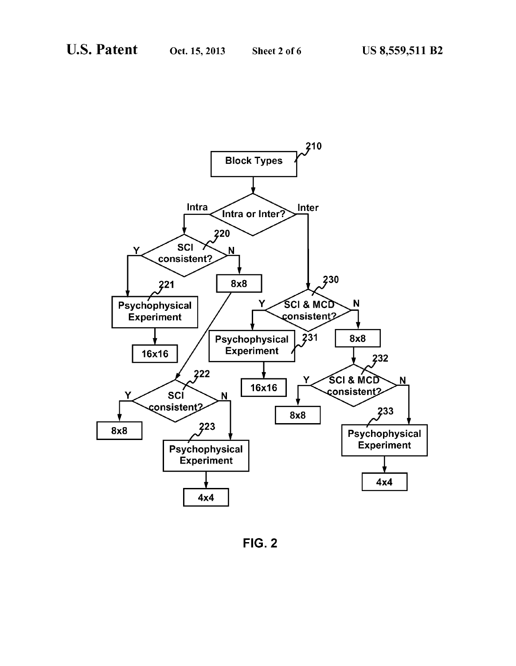

FIG. 2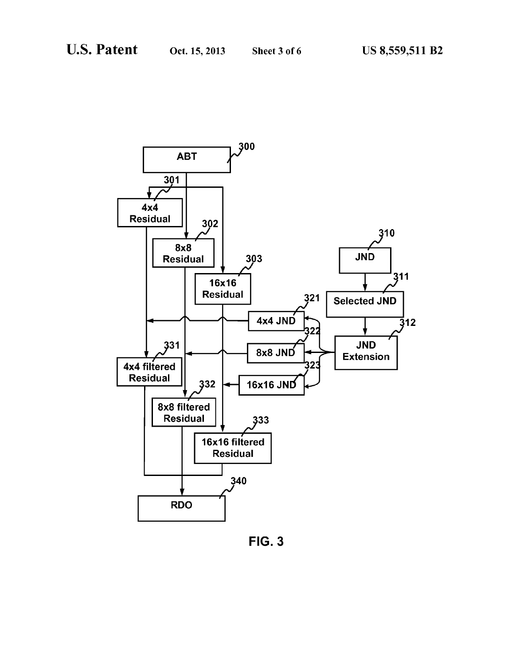

FIG. 3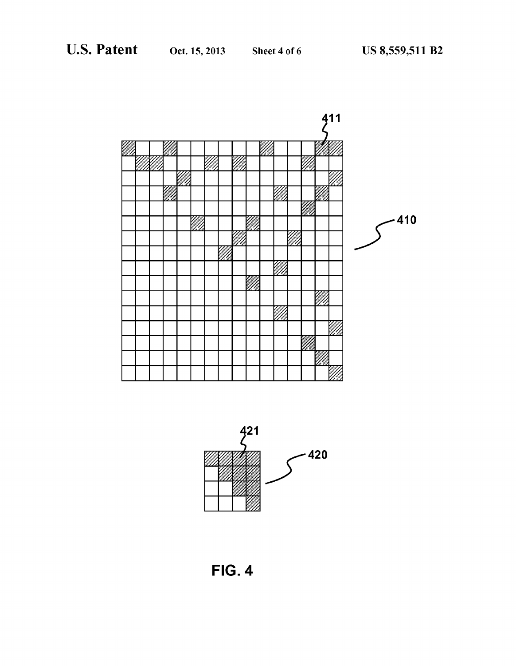



**FIG. 4**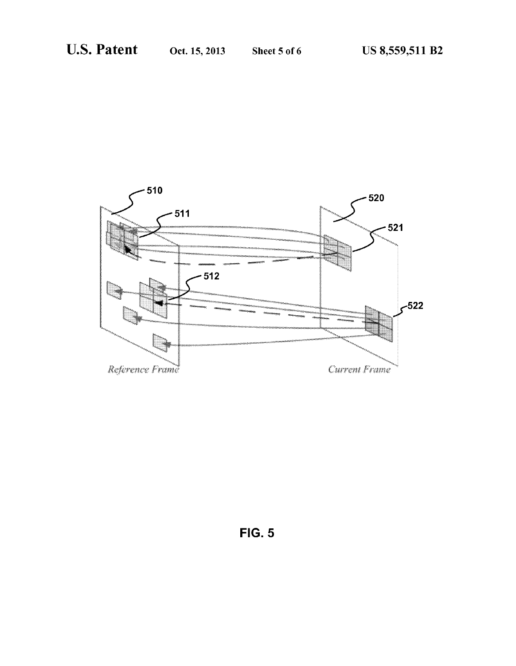

FIG. 5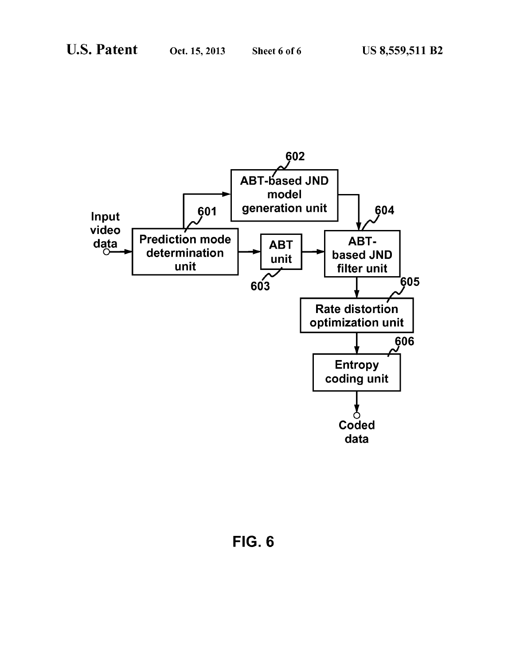

FIG. 6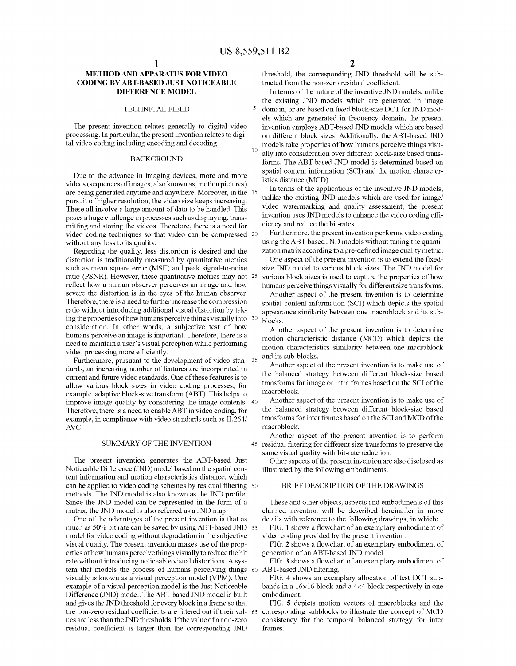5

45

### METHOD AND APPARATUS FOR VIDEO **CODING BY ABT-BASED JUST NOTICEABLE DIFFERENCE MODEL**

#### **TECHNICAL FIELD**

The present invention relates generally to digital video processing. In particular, the present invention relates to digital video coding including encoding and decoding.

### **BACKGROUND**

Due to the advance in imaging devices, more and more videos (sequences of images, also known as, motion pictures) are being generated anytime and anywhere. Moreover, in the 15 pursuit of higher resolution, the video size keeps increasing. These all involve a large amount of data to be handled. This poses a huge challenge in processes such as displaying, transmitting and storing the videos. Therefore, there is a need for video coding techniques so that video can be compressed 20 without any loss to its quality.

Regarding the quality, less distortion is desired and the distortion is traditionally measured by quantitative metrics such as mean square error (MSE) and peak signal-to-noise ratio (PSNR). However, these quantitative metrics may not 25 reflect how a human observer perceives an image and how severe the distortion is in the eyes of the human observer. Therefore, there is a need to further increase the compression ratio without introducing additional visual distortion by taking the properties of how humans perceive things visually into 30 consideration. In other words, a subjective test of how humans perceive an image is important. Therefore, there is a need to maintain a user's visual perception while performing video processing more efficiently.

Furthermore, pursuant to the development of video stan-35 dards, an increasing number of features are incorporated in current and future video standards. One of these features is to allow various block sizes in video coding processes, for example, adaptive block-size transform (ABT). This helps to improve image quality by considering the image contents. 40 Therefore, there is a need to enable ABT in video coding, for example, in compliance with video standards such as H.264/ AVC.

#### **SUMMARY OF THE INVENTION**

The present invention generates the ABT-based Just Noticeable Difference (JND) model based on the spatial content information and motion characteristics distance, which can be applied to video coding schemes by residual filtering 50 methods. The JND model is also known as the JND profile. Since the JND model can be represented in the form of a matrix, the JND model is also referred as a JND map.

One of the advantages of the present invention is that as much as 50% bit rate can be saved by using ABT-based JND 55 model for video coding without degradation in the subjective visual quality. The present invention makes use of the properties of how humans perceive things visually to reduce the bit rate without introducing noticeable visual distortions. A system that models the process of humans perceiving things 60 visually is known as a visual perception model (VPM). One example of a visual perception model is the Just Noticeable Difference (JND) model. The ABT-based JND model is built and gives the JND threshold for every block in a frame so that the non-zero residual coefficients are filtered out if their val-65 ues are less than the JND thresholds. If the value of a non-zero residual coefficient is larger than the corresponding JND

threshold, the corresponding JND threshold will be subtracted from the non-zero residual coefficient.

In terms of the nature of the inventive JND models, unlike the existing JND models which are generated in image domain, or are based on fixed block-size DCT for JND models which are generated in frequency domain, the present invention employs ABT-based JND models which are based on different block sizes. Additionally, the ABT-based JND models take properties of how humans perceive things visually into consideration over different block-size based transforms. The ABT-based JND model is determined based on spatial content information (SCI) and the motion characteristics distance (MCD).

In terms of the applications of the inventive JND models, unlike the existing JND models which are used for image/ video watermarking and quality assessment, the present invention uses JND models to enhance the video coding efficiency and reduce the bit-rates.

Furthermore, the present invention performs video coding using the ABT-based JND models without tuning the quantization matrix according to a pre-defined image quality metric.

One aspect of the present invention is to extend the fixedsize JND model to various block sizes. The JND model for various block sizes is used to capture the properties of how humans perceive things visually for different size transforms.

Another aspect of the present invention is to determine spatial content information (SCI) which depicts the spatial appearance similarity between one macroblock and its subblocks.

Another aspect of the present invention is to determine motion characteristic distance (MCD) which depicts the motion characteristics similarity between one macroblock and its sub-blocks.

Another aspect of the present invention is to make use of the balanced strategy between different block-size based transforms for image or intra frames based on the SCI of the macroblock.

Another aspect of the present invention is to make use of the balanced strategy between different block-size based transforms for inter frames based on the SCI and MCD of the macroblock.

Another aspect of the present invention is to perform residual filtering for different size transforms to preserve the same visual quality with bit-rate reduction.

Other aspects of the present invention are also disclosed as illustrated by the following embodiments.

#### BRIEF DESCRIPTION OF THE DRAWINGS

These and other objects, aspects and embodiments of this claimed invention will be described hereinafter in more details with reference to the following drawings, in which:

FIG. 1 shows a flowchart of an exemplary embodiment of video coding provided by the present invention.

FIG. 2 shows a flowchart of an exemplary embodiment of generation of an ABT-based JND model.

FIG. 3 shows a flowchart of an exemplary embodiment of ABT-based JND filtering.

FIG. 4 shows an exemplary allocation of test DCT subbands in a  $16\times16$  block and a  $4\times4$  block respectively in one embodiment.

FIG. 5 depicts motion vectors of macroblocks and the corresponding subblocks to illustrate the concept of MCD consistency for the temporal balanced strategy for inter frames.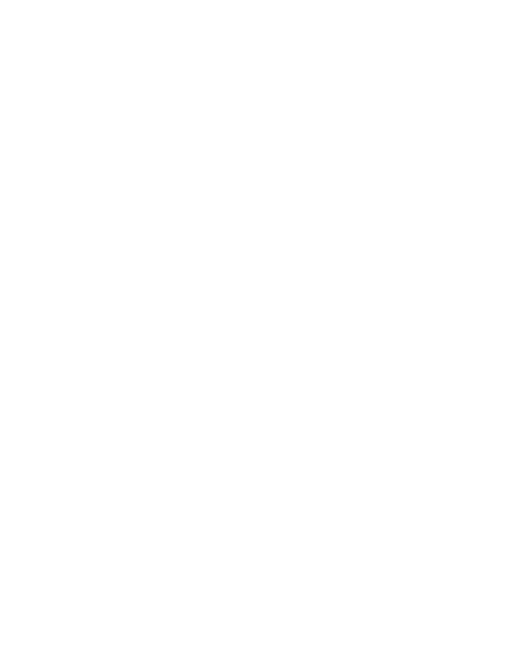$\overline{\mathbf{S}}$ 

FIG. 6 depicts a block diagram for an exemplary embodiment of a video coding apparatus according to one embodiment

#### DETAILED DESCRIPTION OF THE INVENTION

FIG. 1 shows a flowchart of an exemplary embodiment of video coding provided by the present invention. In one embodiment, video coding is performed on an input video 110 and the input video 110 is encoded. To encode the input  $10$ video 110, the JND model for each block of various block sizes in each frame in the input video 110 is computed. Examples of possible block sizes are, but not limited to, 4×4, 8×8 and 16×16.

For each macroblock, a prediction is computed based on  $_{15}$ either intra prediction 121 or inter prediction 122. For example, inter prediction 122 is used when the frame is a P frame or a B frame. Intra prediction 121 is based on different block sizes such as  $4\times4$ ,  $8\times8$ ,  $16\times16$  and is also known as different block-size intra prediction. Inter prediction 122 is  $_{20}$ based on different block sizes such as 4×4, 8×8, 16×16 and is also known as different block-size inter prediction.

A difference block is generated from the difference between the prediction and the block. The difference block is also known as residual. The residual is partitioned into dif- $_{25}$ ferent configurations of non-overlapping blocks for encoding depending on the block size of the residual. The following information are also computed:

(1) Block types, for example, inter, or intra;

texture; and

(3) Motion vectors for blocks of different sizes.

The above information is employed to compute the Just-Noticeable Difference (IND) model 140. According to one of the embodiments, it is assumed that the JND model 140 is 35 initially developed for an 8×8 discrete cosine transform (DCT) block based on Jia's model as described in Jia, Y.; Lin, W.; Kassim, A. A.; Estimating Just-Noticeable Distortion for Video; IEEE Transactions on Circuits and Systems for Video Technology, Vol. 16, No. 7, pp. 820-829, July 2006, and the 40 disclosure of which is incorporated herein by reference in its entirety. The JND model 140 for 8×8 DCT block can be extended to other block sizes as described below.

Let X be the block to be encoded,  $X_p$  be the prediction of X. The residual  $X_r$ , as defined in the equation (1) below, is 45 transformed, quantized, and encoded.

$$
X_r = X - X_p \tag{1}
$$

The residual  $X<sub>r</sub>$  are transformed by adaptive block-size transform (ABT) 130, also known as, different block-size 50 transform, for example, by different block-size discrete cosine transform (DCT) to compute the transformed residual Y. The transformed residual, Y, is defined in the equation (2) below:

$$
Y = T(X_r) \tag{2}
$$

where T represents the ABT on residual 
$$
X_r
$$
. The quantized transformed residual,  $Y_r$ , is defined in the equation (3) below:

$$
Y_q = Q(Y) \tag{3}
$$

where Q represents the quantization operation.

The ABT-based JND model 140 is computed for the block X The ABT-based JND model 140, denoted as  $J_x(u,v)$ , is a matrix or a map containing JND thresholds over which the observer starts to notice any distortion for each residual coef-65 ficient. The computation of the JND thresholds will be further discussed later.

Let Y(u,v) be the  $(u,v)^{th}$  transformed residual coefficient of the residual  $X_r$ . If the  $Y(u,v)$  has a magnitude smaller than  $J_x(u,v)$ , the transformed residual coefficient  $Y(u,v)$  can be discarded. If the  $Y(u, v)$  has a magnitude larger than  $J_x(u, v)$ , the transformed residual coefficient  $Y(u,v)$  is subtracted by  $J_x(u,v)$ . The processing of the transformed residual coefficient  $Y(u, v)$  is also known as a filtering step 150 (ABT-based JND filtering). In one embodiment, the ABT-based JND filtering step 150 is implemented before quantization and the filtering computation is defined in the equation (4) below:

$$
Y_j(u, v) = \begin{cases} \text{sign}(Y(u, v)) \times & \text{if } |Y(u, v)| > J_X(u, v), \\ (|Y(u, v)| - J_X(u, v)) \\ 0 & \text{otherwise} \end{cases}
$$
(4)

where  $Y$ , is the JND-filtered transformed block. The sign function ensures  $Y(u, v)$  to be negative or positive after filtering. Since the residual coefficients are filtered, the reconstructed block  $X_i$  is computed by the equation (5) below:

$$
X_i = X_p + T^{-1}(Q^{-1}(Y_{i,q}))
$$
\n<sup>(5)</sup>

where  $Y_{j,q}$  is the quantized  $Y_j$ .

The distortion d between the reconstructed block  $X_i$  and the block  $X$  is defined in the equation  $(6)$  below:

$$
d = \|X_i - X\|_1 \tag{6}
$$

where the distortion d is equal to the sum of absolute (2) Block categorizations, for example, plane, edge, or  $_{30}$  difference (SAD) between the reconstructed and the original block. Other difference metrics such as, but not limited to, sum of squared difference (SSD) or sum of absolute transformed difference (SATD) can also be used for rate distortion optimization (RDO) 160.

> Let E be the DCT transformed difference between the original block and reconstructed block and E is computed in the equation (7) below:

$$
E = T(X_i - X) \tag{7}
$$

E is filtered by  $J_x$  as in the above equation (4) and the filtering is computed by the equation (8) below,

$$
E_j(u, v) = \begin{cases} \text{sign}(E(u, v)) \times & \text{if } |E(u, v)| > J_X(u, v), \\ (|E(u, v)| - J_X(u, v)) \\ 0 & \text{otherwise} \end{cases}
$$
 (8)

For the term "filtering", the following operations is performed: If the  $E(u, v)$  has a magnitude smaller than  $J_x(u, v)$ , the DCT transformed difference  $E(u,v)$  can be discarded. If the  $E(u,v)$  has a magnitude larger than  $J_x(u,v)$ , the DCT transformed difference  $E(u, v)$  is subtracted by  $J_x(u, v)$ . Then the distortion  $d_i$  is computed from the inverse transform of  $E_i$ , as  $55$  shown in the equation (9) below, and used in the rate distortion optimization 160:

$$
d_j = \|T^{-1}(E_j)\|_1 \tag{9}
$$

If rate distortion optimization 160 is enabled, the prediction mode chosen for the block is the one that minimizes the 60 RD (rate distortion) cost. For example, the RD cost is defined as the equation  $(10)$  below:

$$
R = d + \lambda L \tag{10}
$$

where  $\lambda$  is a Lagrangian multiplier and L is the actual bit length of encoding the block with that prediction mode. For example, if the RD cost for inter prediction is lower than that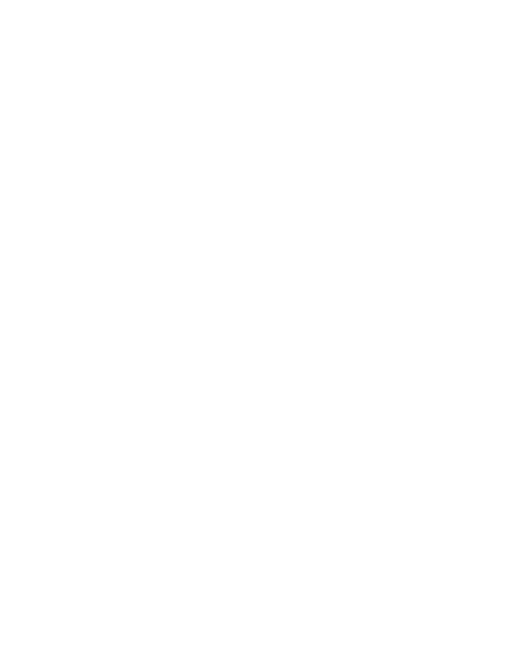for intra prediction, inter prediction will be chosen as the prediction mode for that block.

The ABT-based JND filtering step 150 can be viewed as an adaptive quantization step in which the quantizer of each block is determined from its spatial and temporal character-5 istics. Because the ABT-based JND filtered block will undergo normal encoding procedure, the bitstream is totally compliant to the H.264 standard and can be decoded correctly by any decoder.

The selected transform mode together with the filtered 10 residual coefficients is coded by the entropy coding 170. After different block-size transforms and the ABT-based JND filtering are performed, the total distortion of the macroblock and its required bits are computed. In accordance with the total distortion of the macroblock and its required bits, the 15 best transform mode (best transform size) is determined according to the rate distortion optimization. The ABT-based JND model 140 is related with the transform mode, no other hits need to be encoded.

FIG. 2 shows a flowchart of an exemplary embodiment of 20 generation of the ABT-based JND model. In order to generate the ABT-based JND model, we need to determine the block type 210. If it is an inter block, a balanced strategy in terms of both spatial and temporal characteristics is applicable. If it is an intra block, only spatial balanced strategy is applicable. In 25 one embodiment, the 8×8 DCT based JND model is used and is extended to different block-size DCT based JND models such as 16×16 DCT based JND model and 4×4 DCT based JND model. The details concerning adaptive block-size transform (ABT) based just-noticeable difference (JND) model 30 for images are described in Ma, Lin; Ngan, King N.; Adaptive Block-Size Transform Based Just-Noticeable Difference Pro*file for Images*; Proceedings of the  $10<sup>th</sup>$  Pacific Rim Conference on Multimedia: Advances in Multimedia Information Processing, Session 13: Advanced Image Processing Tech-35 niques; Page 1208-1218; 2009, the disclosure of which is incorporated herein by reference to its entirety.

An automatic JND model can be determined in the image domain, or transform domain, such as DCT and discrete wavelet transform (DWT), or even the combination of these 40 two schemes. To accurately describe how humans perceive things visually, a JND model generated in the transform domain, which is also known as the subband-based JND, may incorporate all the major affecting factors. The major affecting factors include, but are not limited to, spatial contrast 45 sensitivity function (CSF), luminance adaptation effect and contrast masking.

ABT allows different transform sizes. Different transform sizes are adopted according to the general strategy that larger transforms are used to provide better energy compaction and 50 better preservation of details, while smaller transforms could prevent more ringing artifacts during compression. The present invention allows the ABT-based JND model to make use of the different performance of how humans perceive things visually if different transform sizes are used. During 55 the extension, a psychophysical experiment is carried out to parameterize the spatial CSF to take account of the properties of how humans perceive things visually. The content of an image is also adaptively adjusted to decide which transform size is employed to yield the resulting ABT-based JND 60 model.

For an intra block, the spatial balanced strategy 220 is used to determine if the spatial content information (SCI) is consistent in the block. If the spatial content information of a 16×16 block is consistent according to the spatial balanced 65 strategy 220, then the block size of the DCT is selected to be 16×16. The 16×16 DCT is utilized to generate the ABT-based

6

JND model. The resulting ABT-based JND model is based on the block size of 16×16 according to the psychophysical experiment  $221$  based on the block size of 16 $\times$ 16. If the spatial content information of the  $16\times16$  block is not consistent, then the  $16\times16$  block is divided into 8 $\times8$  blocks. Subsequently, for each  $8\times8$  block, if the spatial content information of the 8×8 block is consistent according to the spatial balanced strategy 222, then the block size of the DCT is selected to be 8×8. The 8×8 DCT is utilized to generate the ABT-based JND model. The resulting ABT-based JND model is based on the block size of 8×8. If the spatial content information of the 8×8 block is not consistent, then the block size of the DCT is selected to be  $4\times4$ , the  $4\times4$  DCT is utilized to generate the ABT-based JND model. The resulting ABT-based JND model is based on the block size of 4×4 according to the psychophysical experiment 223 based on the block size of 4×4.

For an inter block, the spatial and temporal balanced strategies 230 are used to determine if the spatial content information (SCI) of the  $16\times16$  block is consistent and if the motion characteristic distance (MCD) of the  $16\times16$  block is consistent. If both the SCI and the MCD are consistent according to the spatial and temporal balanced strategies 230, then the block size of the DCT is selected to be 16×16. The 16×16 DCT is utilized to generate the ABT-based JND model. The resulting ABT-based JND model is based on the block size of 16×16 according to the psychophysical experiment 231 based on the block size of 16×16. If the SCI or the MCD is not consistent, then the  $16\times16$  block is divided into  $8\times8$ blocks. Subsequently, for each 8×8 block, the spatial and temporal balanced strategies 232 are used to determine if the SCI of the  $8\times8$  block is consistent and the MCD of the  $8\times8$ block is consistent. If both the SCI and the MCD are consistent according to the spatial and temporal balanced strategies 232, then the block size of the DCT is selected to be 8×8. The 8×8 DCT is utilized to generate the ABT-based JND model. If the SCI or the MCD is not consistent, then the block size of the DCT is selected to be  $4\times4$ . The  $4\times4$  DCT is utilized to generate the ABT-based JND model. The resulting ABTbased JND model is based on the block size of 4×4 according to the psychophysical experiment 233 based on the block size of  $4\times4$ 

**Spatial Balanced Strategy** 

Just Noticeable Difference (JND) is the smallest detectable difference between a starting and secondary level of a particular sensory stimulus in psychophysics. JND is also regarded as a difference limen or a differential threshold. In general, the JND model can be expressed in form of the following equation  $(11)$ :

$$
T_{JND} = T_{JND} \times T_{JND} \tag{11}
$$

where  $T_{JND_S}$  is the spatial JND and  $T_{JND_T}$  is the temporal JND modulation factor. In the inter frames, the intra prediction is also needed for processing the blocks which are not suitable for motion estimation. Because these blocks depend more on their spatial neighboring blocks than the temporal frames. Consequently, these blocks are regarded as containing spatial information only and are modeled by the spatial JND model which follows the spatial balanced strategy.

The spatial JND model in the DCT domain is determined by the following equation (12):

$$
\Gamma(m,n,i,j) = T_{basic}(i,j) \cdot \alpha_{lum}(m,n) \cdot \alpha_{cm}(m,n,i,j) \tag{12}
$$

where (m,n) denotes the position of DCT block in an image, (i,j) indicates the DCT subband (i,j),  $T_{basic}$  is the basic visibility threshold generated from spatial contrast sensitivity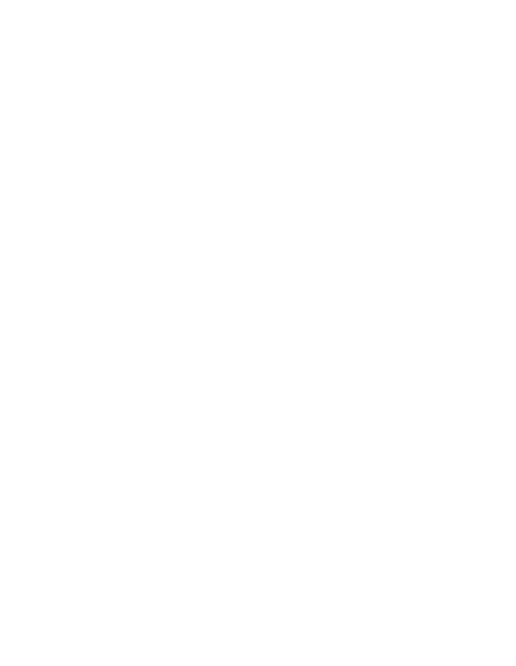15

 $\overline{2}$ 

**Contrast Masking** 

function (CSF);  $\alpha_{lum}$  is the luminance adaptation;  $\alpha_{cm}$ , is the contrast masking; and  $T(m,n,i,j)$  is the spatial JND threshold as obtained.

Basic Visibility Threshold

The basic visibility threshold,  $T_{basic}$  is defined as the <sup>5</sup> inverse of the contrast sensitivity of spatial frequency which is the sensitivity of human visual perception over spatial frequency and is modeled by the following equation (13):

 $10\qquad \alpha_{cm} =$  $(13)$  $H(\omega)=(a+b\omega)\exp(-c\omega)$ 

where  $\omega$  is the specified spatial frequency. As JND threshold is the inverse of the sensitivity modeled by the equation  $(13)$ , the basic JND threshold is modeled by the equation  $(14)$ below:

$$
T_{basic}(m, n, i, j) = \frac{s}{\phi_i \phi_j} \cdot \frac{\exp(c\omega_{i,j})/(a + b\omega_{i,j})}{\gamma + (1 - \gamma) \cdot \cos^2 \varphi_{ij}}
$$
(14)

where  $s=0.25$  denotes the summation effect factor, and  $\phi_{1}$ ,  $\phi_i$  are the DCT normalization factors as defined in the equa- $\frac{1}{10}$  (15) below:

$$
\phi_m = \begin{cases} \sqrt{1/N} \ , & m = 0 \\ \sqrt{2/N} \ , & m > 0 \end{cases} \tag{15}
$$

N stands for the dimension of the DCT block. And  $\phi$ <sub>i</sub> denotes the directional angle of the corresponding DCT coefficient as shown in the equation (16) below:

$$
\phi_{ij} = \arcsin(2\omega_{i,0}\omega_{0,j}/\omega_{ij}^2) \tag{16}
$$

where  $\omega_{i,j}$  is the corresponding spatial frequency of DCT subband  $(i,j)$  and is defined in the equation  $(17)$  below:

$$
\Phi_{i,j} = (1/(2N))\sqrt{(i/\Theta_x)^2 + (j/\Theta_y)^2}
$$
\n(17)

where  $\theta_x$  and  $\theta_y$  are horizontal and vertical visual angles respectively and are given by the following equation (18):

$$
\Theta_x = \Theta_y = 2 \cdot \arctan(1/(2 \cdot R_d \cdot P_h)) \tag{18}
$$

where  $R_d$  indicates the ratio of viewing distance to image height, and  $P_h$  is the image height (in pixel). The parameters  $(a, b, c)$  are defined and computed in the following paragraphs.

Luminance Adaption

Luminance adaption,  $\alpha_{lum}$ , is used to represent how easily a difference can be noticed against different luminance. For example, there is a higher visibility threshold in either dark or bright regions to denote the fact that it is more difficult to notice any difference, while there is a lower visibility threshold in medium bright regions to denote the fact that it is easier 55 to notice any difference. The luminance adaption is based on the average intensity  $I_{ave}$  of the DCT block and is given by the following equation (19):

$$
\alpha_{lum} = \begin{cases}\n(60 - I_{ave})/150 + 1 & I_{ave} \le 60 \\
1 & 60 < I_{ave} < 170 \\
(I_{ave} - 170)/425 + 1 & I_{ave} \ge 170\n\end{cases}
$$
\n(19)

where  $I_{ave}$  is the average intensity value of the whole DCT block.

## 8

Contrast masking,  $\alpha_{cm}$ , is used to refer to the reduction in the visibility of one visual component in the presence of another one. For example, noise will be less visible in a textured region but will be more visible in a smooth region or an edge region. Therefore,  $\alpha_{cm}$  varies according to block categorization and is given by the following equation (20):

 $(20)$ 

$$
\Psi,
$$
  
for  $(i^2 + j^2) \le 16$  in Plane and Edge Block  

$$
\Psi \cdot \min\left(4, \max\left(1, \left(\frac{C(m, n, i, j)}{T_{basic}(m, n, i, j) \times \alpha_{lum}(m, n, i, j)}\right)^{0.36}\right)\right)
$$
others

$$
0 \quad \text{where } \Psi = \begin{cases} 1, & \text{for Plane and Edge Block} \\ 2.25, & \text{for } (i^2 + j^2) \le 16 \text{ in Texture Block} \\ 1.25, & \text{for } (i^2 + j^2) > 16 \text{ in Texture Block} \end{cases}
$$

As one embodiment, the block categorization is the one  $_{25}$  implemented in the image domain. Firstly, Canny edge detector is utilized to mark the edge pixels in the image domain. Secondly, based on the number of edge pixels in the block, the block can be categorized into three types, namely PLANE, EDGE, and TEXTURE, respectively. For example, for a 30 16×16 macroblock, block categorization is defined according  $to$ 

$$
\text{Block\_Categorization} = \left\{ \begin{array}{ll} \text{PLANE} & \sum_{Edge} < 16 & (21) \\ & \text{EDGE} & 16 \le \sum_{Edge} \le 52 \\ & \text{TEXTURE} & \sum_{Edge} > 52 \\ \end{array} \right.
$$

where  $\Sigma_{edge}$  is the number of edge pixels in a given macroblock.

In one embodiment, the temporal JND model is determined by the following equation (20):

$$
T_{JND_T} = \begin{cases} 1, & f_s < 5cpd \& f_t < 10 \text{ Hz} \\ 1.07^{(f_t-10)}, & f_s < 5cpd \& f_t \ge 10 \text{ Hz} \\ 1.07^{f_t}, & f_t > 5cpd_s \end{cases}
$$
 (22)

where  $f_t = f_{sx}v_x + f_{sy}v_y$ ;  $f_{sx}$ ,  $f_{sy}$ , are horizontal spatial frequency and vertical spatial frequency respectively; and  $v_x$ ,  $v_y$ is the velocity of object motion on the retina plane along the horizontal direction and along the vertical direction, respectively.

Balanced Strategy for JND Profile Between Different 60 Block-Size Transforms

After the extension of the  $8\times8$  to  $16\times16$  as well as to  $4\times4$ , three JND profiles based on different block-size transforms will have been obtained. The smaller block-size DCT would result in better energy compaction and detailed information preservation, while the larger block-size DCT could represent the content and characteristics of local image blocks more efficiently.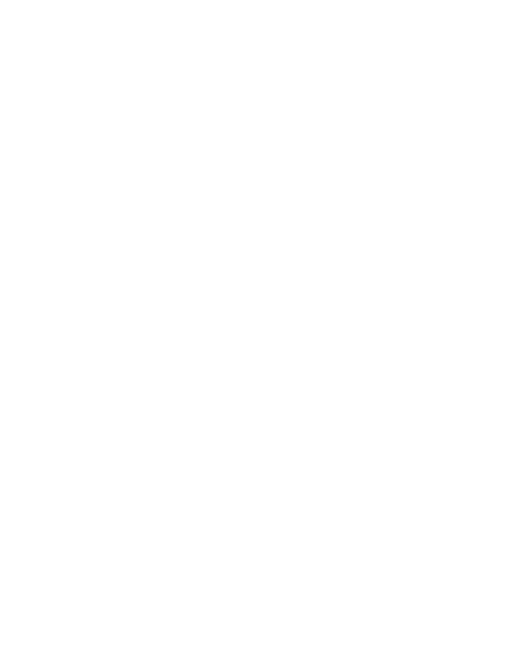$50^{\circ}$ 

60

Spatial Balanced Strategies for Intra Frames

**TABLE 1** 

| (Balanced strategy among 16x16, 8x8 and 4x4 JND profiles) |                    |                                                 |     |  |
|-----------------------------------------------------------|--------------------|-------------------------------------------------|-----|--|
| 16x16<br>macroblock type                                  | 8x8 sub-block type | JND Profile                                     |     |  |
| PLANE                                                     | <b>PLANE</b>       | All 8x8 sub-blocks are 16x16 macroblock PLANE   | 10. |  |
|                                                           | Otherwise          | Table 2                                         |     |  |
| <b>EDGE</b>                                               | EDGE               | All 8x8 sub-blocks are 16x16 macroblock EDGE    |     |  |
|                                                           | Otherwise          | Table 2                                         |     |  |
| <b>TEXTURE</b>                                            | <b>TEXTURE</b>     | All 8x8 sub-blocks are 16x16 macroblock TEXTURE | 15  |  |
|                                                           | Otherwise          | Table 2                                         |     |  |

For intra frames, the image is firstly divided into  $16\times16_{20}$ macroblocks. The block categorization is employed as the basis for balancing different JND profiles. As shown in table 1, the first column represents the  $16\times16$  macroblock type, while the second column represents the 8×8 sub-block categorization. And the third column is the decision for gener- 25 ating the resulting JND profile. For example, if the  $16\times16$ macroblock is marked as PLANE and all the 8×8 sub-blocks in the macroblock are also marked as PLANE, the 16×16 DCT-based JND model is adopted for its advantage in energy 30 compaction and preserving detail information. Otherwise, the JND profile determination process will continue as in the following Table 2:

**TABLE 2** 

| (Balanced strategy among 16x16, 8x8 and 4x4 JND profiles) - continued |                                                |                                             |    |  |  |
|-----------------------------------------------------------------------|------------------------------------------------|---------------------------------------------|----|--|--|
| 8x8 sub-block<br>type                                                 | 4x4 sub-block type                             | JND Profile                                 |    |  |  |
| PLANE                                                                 | All 4x4 sub-blocks are PLANE<br>Otherwise      | 8x8 sub-block PLANE<br>$4x4$ sub-block      | 40 |  |  |
| <b>EDGE</b>                                                           | All 4x4 sub-blocks are EDGE<br>Otherwise       | 8x8 sub-block EDGE<br>$4x4$ sub-block       |    |  |  |
| <b>TEXTURE</b>                                                        | All 4x4 sub-blocks are<br>TEXTURE<br>Otherwise | 8x8 sub-block<br>TEXTURE<br>$4x4$ sub-block | 45 |  |  |

For example, if the 8×8 sub-block is marked as PLANE and all the 4×4 sub-blocks in the 8×8 sub-block are also marked as PLANE, 8×8 DCT-based JND model will be adopted for each 8×8 sub-block in the 16×16 macroblock according to the different information and characteristics of the 8×8 subblock, for example, whether the block type is PLANE or EDGE or TEXTURE. Otherwise, the 4x4 DCT-based JND model will be employed for each  $4\times4$  sub-block, by consid-  $55$ ering different content information and characteristics of the 4×4 sub-blocks, for example, whether the block type is PLANE or EDGE or TEXTURE.

Temporal Balanced Strategy for Inter Frames

Temporal properties between a block and its sub-blocks are used for the balanced strategy for inter frames. In one embodiment, the motion vector is utilized to represent the motion characteristic of the object. Motion Characteristic Distance (MCD) represents the motion characteristic similarity 65 between one macroblock and its sub-blocks. The MCD is determined by the following equation (23):

$$
MCD = \sqrt{\sum_{i=0}^{N-1} \left[ (MV_{s\_i\_x} - MV_{M\_x})^2 + (MV_{S\_i\_y} - MV_{M\_y})^2 \right]} / N
$$
 (23)

where  $MV_{s,i}$  is the motion vector of sub-block, while  $MV_{\mathcal{M}}$ , is the motion vector the macroblock.

If MCD is smaller than a threshold, and the spatial content information is consistent, a larger DCT based JND will be utilized. Otherwise, smaller DCT based JND will be employed.

FIG. 5 depicts motion vectors of macroblocks and the corresponding sub-blocks to illustrate the concept of MCD consistency for the temporal balanced strategy for inter <sup>15</sup> frames. FIG. 5 shows a current frame 520 and its reference frame 510. The macroblock 521 in the current frame 520 has a motion vector pointing to the corresponding macroblock 511 in the reference frame 510. The macroblock 522 in the current frame 520 has a motion vector pointing to the corresponding macroblock 512 in the reference frame 510. It is shown that the motion vectors of the sub-blocks of macroblock 521 are more consistent with the motion vector of the macroblock 521 when compared with those motion vectors of the sub-blocks of macroblock 522. It is likely that the MCD for macroblock 522 is larger than the MCD for macroblock 521 and even over the threshold.

Psychophysical Experiment

FIG. 4 shows an exemplary allocation of test DCT subbands in a 16×16 block and a 4×4 block respectively in one embodiment. In one embodiment of a  $16\times16$  block 410, test DCT subbands are represented by shaded cells, such as cell 411, and are allocated as depicted in the figure. In one embodiment of a 4x4 block 420, test DCT subbands are represented by shaded cells such as cell 421 and are allocated as depicted in the figure. As shown in FIG. 4, the test DCT subbands are allocated such that at least one test DCT subband is located on each row and on each column, the test DCT subbands cover low frequencies, middle frequencies and high frequencies, and at least one DCT subband is located on each diagonal. Noise is added to certain spatial frequency subbands of 16×16 and 4×4 DCT individually. For each test DCT subband, a plurality of amplitudes of noise for each subband are chosen based on the pre-designed measurements. Viewers give their opinions on whether the noise can be perceived. If yes, the noise amplitude will be reduced. In contrast, the noise amplitude will be increased if the noise cannot be perceived. After the experiment, the just noticeable difference thresholds for the selected DCT subbands can be obtained.

The JND model has directionality, which presents as most sensitive to the horizontal and vertical frequency components and least sensitive to the diagonal components. This perceptual performance is also named as the "oblique effect."

During parameterization, at least one DCT subband is located on each row and on each column, at least one DCT subband is located on each diagonal, and the DCT subbands are preferred to cover low frequencies, middle frequencies, and high frequencies.

Least mean squared error is employed to fit the obtained JND threshold to the equation (24) below:

$$
(a, b, c) = \underset{\omega_{ij}}{\text{argmin}} \sum_{i} \left[ T_{\omega_{ij}} - T_{basic}(m, n, i, j) \right]^2 \tag{24}
$$

where  $T_{\Theta_{ii}}$  is the JND threshold obtained from the psychophysical experiment.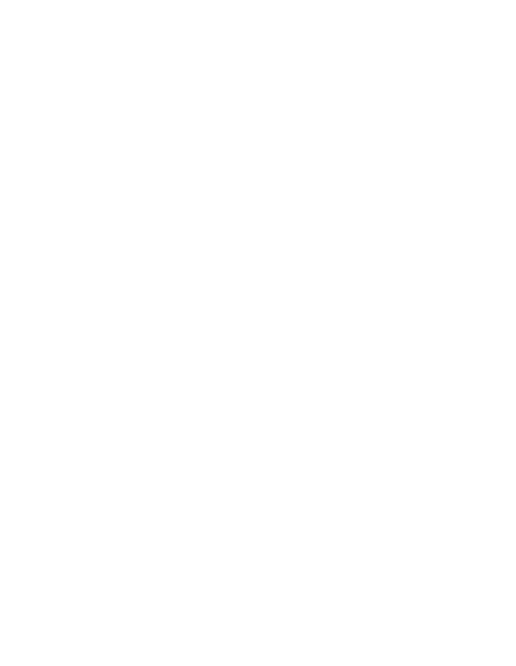FIG. 3 shows a flowchart of an exemplary embodiment of the ABT-based JND filtering. In one embodiment, 4×4 residuals 301,  $8\times8$  residuals 302, and  $16\times16$  residuals 303 are obtained from the ABT 300 according to different transform sizes of DCT.

Through the generation of JND model 310, the selected JND model 311 is generated, which may be 4x4 JND model, 8×8 JND model, or 16×16 JND model. Furthermore, there are two types of JND models for each transform size, namely spatial JND model for intra macroblock and temporal JND 10 model for inter macroblock.

In order to make the JND model compatible with the ABTtransform, the selected JND model is extended to different block-size based JND model by JND extension 312. In JND extension 312, the information such as the block type, block categorization, and motion vectors for different blocks are utilized to generate different block-size based JND models for each block. Therefore, 4x4 JND model 321, 8x8 JND model 322, and 16×16 JND model 323 are obtained for filtering the transformed residual coefficients.

$$
\hat{E}_{tpp} = \begin{cases}\n0, & \text{if } E_{tpp} \leq JND_{tpp} \\
\text{sign}(E_{tpp}) \cdot (|E_{tpp}| - JND_{tpp}), & \text{otherwise}\n\end{cases}
$$
\n(25)

Equation (25) represents the filtering process. "typ" denotes the block size for the DCT transform and the JND model.  $E_{typ}$  is the transformed residual coefficients according to different block sizes,  $JND_{typ}$  is the generated JND, which 30 may be  $4\times4$  JND model 321,  $8\times8$  JND model 322, or  $16\times16$ JND model 323.  $\hat{E}_{typ}$  is the filtered coefficients.

After filtering, 4x4 filtered residual coefficients 331, 8x8 filtered residual coefficients 332, or 16×16 filtered residual coefficients 333 are obtained. The residual coefficients 35 together with the prediction mode information will be processed by the rate distortion optimization (RDO) 340 for choosing the best prediction mode. Therefore, when rate distortion is enabled, the prediction mode chosen for the block is the one that minimizes the rate distortion cost. In one embodi-40 ment, the rate distortion cost is defined as  $R = d + \lambda L$ 

where  $\lambda$  is a Lagrangian multiplier and L is the actual bit length of encoding the block with that prediction mode.

FIG. 6 depicts a block diagram for an exemplary embodiment of a video coding apparatus provided by the present 45 invention. Various components as described below can be implemented as one or more processors. The prediction mode determination unit 601 operates on input video data and determines whether a frame in the video signal is an inter frame or an intra frame according to the prediction mode of the frame. 50 The ABT unit 603 performs adaptive block transform on the input video data to generate DCT transformed signal of various block sizes. On the other hand, the ABT-based JND model generation unit 602 generates an ABT-based JND model based on the following information as described 55 above:

(1) Block types, for example, inter, or intra;

(2) Block categorizations, for example, plane, edge, or texture; and

(3) Motion vectors for blocks of different sizes.

The ABT-based JND model contains one or more JND thresholds as determined by a psychophysical experiment based on the visual perception model. The ABT-based JND model generation unit 602 computes the ABT-based JND model for the intra frame based on spatial content information 65 according to the spatial balanced strategy as described above. The ABT-based JND model generation unit 602 also com-

putes the ABT-based JND model for the inter frame based on spatial content information and temporal characteristics according to the spatial and temporal balanced strategy as described above.

The ABT-based JND filter unit 604 filters one or more residual coefficients by discarding one or more residual coefficients which are below the JND thresholds of the ABTbased JND model so that a signal with filtered residual coefficients is output. Based on the filtered residual coefficients, the rate distortion optimization unit 605 determines the rate distortion cost to select the best prediction mode by lowering the rate distortion cost if rate distortion optimization unit is enabled.

The entropy coding unit 606 then computes the coded data after coding the filtered residual coefficients.

Embodiments of the present invention may be implemented in the form of software, hardware, application logic or a combination of software, hardware and application logic. The software, application logic and/or hardware may reside 20 on integrated circuit chips, modules or memories. If desired, part of the software, hardware and/or application logic may reside on integrated circuit chips, part of the software, hardware and/or application logic may reside on modules, and part of the software, hardware and/or application logic may 25 reside on memories. In one exemplary embodiment, the application logic, software or an instruction set is maintained on any one of various conventional non-transitory computerreadable media.

Processes and logic flows which are described in this specification can be performed by one or more programmable processors executing one or more computer programs to perform functions by operating on input data and generating output. Processes and logic flows can also be performed by special purpose logic circuitry, e.g., an FPGA (field programmable gate array) or an ASIC (application-specific integrated circuit).

Apparatus or devices which are described in this specification can be implemented by a programmable processor, a computer, a system on a chip, or combinations of them, by operating on input date and generating output. Apparatus or devices can include special purpose logic circuitry, e.g., an FPGA (field programmable gate array) or an ASIC (application-specific integrated circuit). Apparatus or devices can also include, in addition to hardware, code that creates an execution environment for computer program, e.g., code that constitutes processor firmware, a protocol stack, a database management system, an operating system, a cross-platform runtime environment, e.g., a virtual machine, or a combination of one or more of them.

Processors suitable for the execution of a computer program include, for example, both general and special purpose microprocessors, and any one or more processors of any kind of digital computer. Generally, a processor will receive instructions and data from a read-only memory or a random access memory or both. The elements of a computer generally include a processor for performing or executing instructions, and one or more memory devices for storing instructions and data.

Computer-readable medium as described in this specifica-60 tion may be any media or means that can contain, store, communicate, propagate or transport the instructions for use by or in connection with an instruction execution system, apparatus, or device, such as a computer. A computer-readable medium may comprise a computer-readable storage medium that may be any media or means that can contain or store the instructions for use by or in connection with an instruction execution system, apparatus, or device, such as a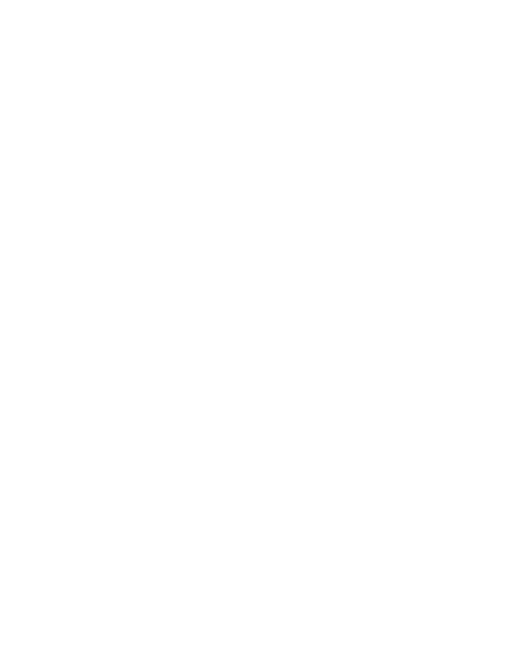computer. Computer-readable media may include all forms of nonvolatile memory, media and memory devices, including by way of example semiconductor memory devices, e.g., EPROM, EEPROM, and flash memory devices; magnetic disks, e.g., internal hard disks or removable disks; magneto- 5 optical disks; and CD-ROM and DVD-ROM disks.

A computer program (also known as, e.g., a program, software, software application, script, or code) can be written in any programming language, including compiled or interpreted languages, declarative or procedural languages, and it 10 can be deployed in any form, including as a stand-alone program or as a module, component, subroutine, object, or other unit suitable for use in a computing environment. A computer program can be deployed to be executed on one computer or on multiple computers that are located at one 15 single site or distributed across multiple sites and interconnected by a communication network.

Embodiments and/or features as described in this specification can be implemented in a computing system that includes a back-end component, e.g., as a data server, or that 20 includes a middleware component, e.g., an application server, or that includes a front-end component, e.g., a client computer having a graphical user interface or a Web browser through which a user can interact with one embodiment as described in this specification, or any combination of one or 25 more such back-end, middleware, or front-end components. The components of the system can be interconnected by any form or medium of digital data communication, e.g., a communication network. Examples of communication networks include a local area network ("LAN") and a wide area net- 30 work ("WAN"), e.g., the Internet.

The computing system can include clients and servers. A client and server are generally remote from each other and typically interact through a communication network. The relationship of client and server arises by virtue of computer 35 programs running on the respective computers and having a client-server relationship to each other.

The whole specification contains many specific implementation details. These specific implementation details are not meant to be construed as limitations on the scope of the 40 where: invention or of what may be claimed, but rather as descriptions of features specific to particular embodiments of the invention.

Certain features that are described in the context of separate embodiments can also be combined and implemented as 45 a single embodiment. Conversely, various features that are described in the context of a single embodiment can also be implemented in multiple embodiments separately or in any suitable subcombinations. Moreover, although features may be described as acting in certain combinations and even ini- 50 tially claimed as such, one or more features from a combination as described or a claimed combination can in certain cases be excluded from the combination, and the claimed combination may be directed to a subcombination or variation of a subcombination. Although various aspects of the 55 invention are set out in the independent claims, other aspects of the invention comprise other combinations of features from the embodiments and/or from the dependent claims with the features of the independent claims, and not solely the combinations explicitly set out in the claims. 60

Certain functions which are described in this specification may be performed in a different order and/or concurrently with each other. Furthermore, if desired, one or more of the above-described functions may be optional or may be combined. 65

The above descriptions provide exemplary embodiments of the present invention, but should not be viewed in a limiting 14

sense. Rather, it is possible to make variations and modifications without departing from the scope of the present invention as defined in the appended claims.

#### What is claimed is:

1. A video coding apparatus, comprising:

a unit for providing a video signal;

- a prediction mode determination unit that determines whether a frame in the video signal is an inter frame or an intra frame according to the prediction mode of the frame:
- an adaptive block-size transform (ABT)-based just noticeable difference (JND) model generation unit that makes use of one or more performance properties of how humans perceive things visually for different block-size based transforms and computes block types, block categorizations and motion vectors for block of different sizes to generate an ABT-based JND model which contains one or more JND thresholds as determined by a psychophysical experiment based on the visual perception model; and
- an ABT-based JND filter that filters one or more residual coefficients by discarding one or more residual coefficients which are below the JND thresholds of the ABTbased JND model and subtracting the JND thresholds from one or more residual coefficients which are larger than the JND thresholds of the ABT-based JND model so that a signal with filtered residual coefficients is output; wherein the one or more JND thresholds are thresholds
- over which an observer of the output signal with filtered residual coefficients starts to notice any distortion; and wherein the one or more JND thresholds are modeled by

$$
T_{basic}(m, n, i, j) = \frac{s}{\phi_i \phi_j} \cdot \frac{\exp(c\omega_{i,j})/(a + b\omega_{i,j})}{\gamma + (1 + \gamma) \cdot \cos^2 \varphi_{ij}}
$$

 $T_{basic}(m, n, i, j)$  is a basic JND threshold;

(m, n) denotes the position of DCT block in an image;

s denotes the summation effect factor;

- $\phi_i$  and  $\phi_i$  are discrete cosine transform (DCT) normalization factors;
- $\phi_{ij}$  denotes directional angle of corresponding DCT coefficient:
- $\omega_{i,j}$  is corresponding spatial frequency of DCT subband (i,  $\ddot{1}$
- γ denotes the oblique effect factor; and
- a, b and c are selected so as to achieve a least mean squared error in fitting JND thresholds obtained from a psychophysical experiment with the values obtained by computing  $T_{basic}(m, n, i, j)$ .

2. The video coding apparatus as claimed in claim 1, wherein:

the ABT-based JND model generation unit computes the ABT-based JND model for the block of intra type based on spatial content information according to a spatial balanced strategy.

3. The video coding apparatus as claimed in claim 2, wherein:

the ABT-based JND model of a larger block size is selected if the spatial content information is consistent between a block and the sub-block thereof.

4. The video coding apparatus as claimed in claim 2, wherein: